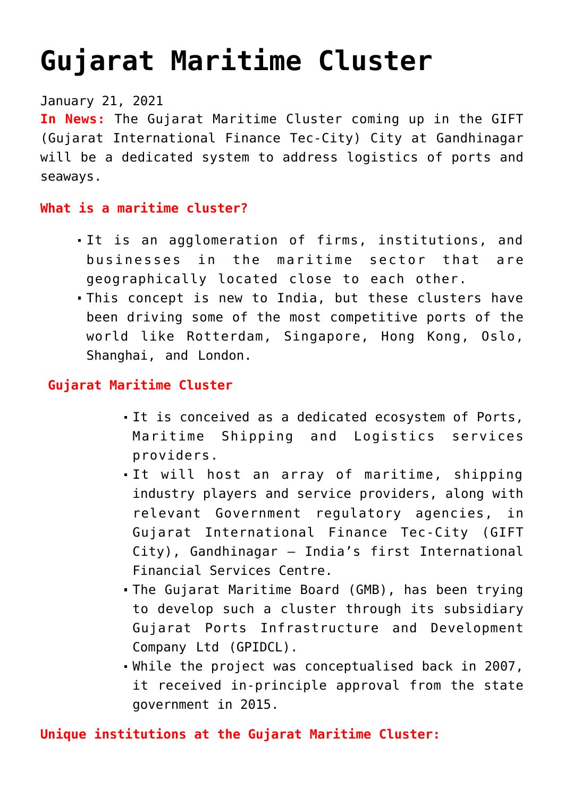# **[Gujarat Maritime Cluster](https://journalsofindia.com/gujarat-maritime-cluster/)**

## January 21, 2021

**In News:** The Gujarat Maritime Cluster coming up in the GIFT (Gujarat International Finance Tec-City) City at Gandhinagar will be a dedicated system to address logistics of ports and seaways.

#### **What is a maritime cluster?**

- It is an agglomeration of firms, institutions, and businesses in the maritime sector that are geographically located close to each other.
- This concept is new to India, but these clusters have been driving some of the most competitive ports of the world like Rotterdam, Singapore, Hong Kong, Oslo, Shanghai, and London.

#### **Gujarat Maritime Cluster**

- It is conceived as a dedicated ecosystem of Ports, Maritime Shipping and Logistics services providers.
- It will host an array of maritime, shipping industry players and service providers, along with relevant Government regulatory agencies, in Gujarat International Finance Tec-City (GIFT City), Gandhinagar – India's first International Financial Services Centre.
- The Gujarat Maritime Board (GMB), has been trying to develop such a cluster through its subsidiary Gujarat Ports Infrastructure and Development Company Ltd (GPIDCL).
- While the project was conceptualised back in 2007, it received in-principle approval from the state government in 2015.

#### **Unique institutions at the Gujarat Maritime Cluster:**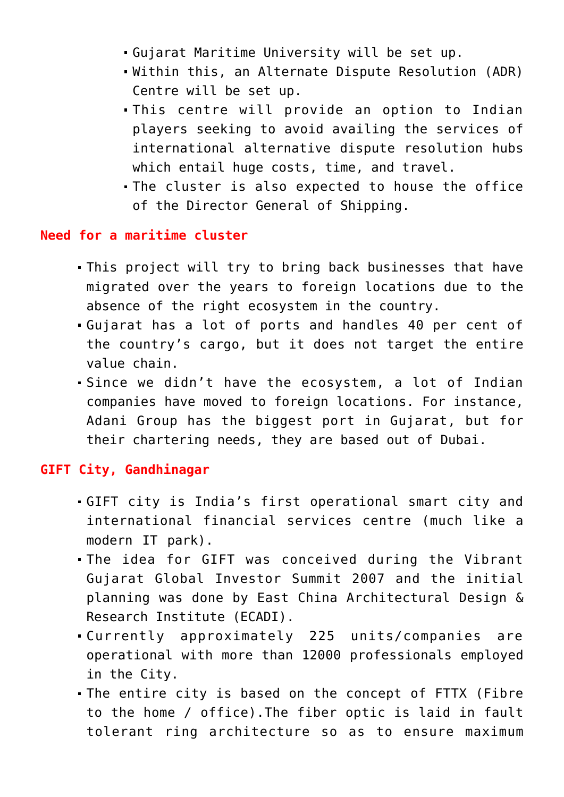- Gujarat Maritime University will be set up.
- Within this, an Alternate Dispute Resolution (ADR) Centre will be set up.
- This centre will provide an option to Indian players seeking to avoid availing the services of international alternative dispute resolution hubs which entail huge costs, time, and travel.
- The cluster is also expected to house the office of the Director General of Shipping.

#### **Need for a maritime cluster**

- This project will try to bring back businesses that have migrated over the years to foreign locations due to the absence of the right ecosystem in the country.
- Gujarat has a lot of ports and handles 40 per cent of the country's cargo, but it does not target the entire value chain.
- Since we didn't have the ecosystem, a lot of Indian companies have moved to foreign locations. For instance, Adani Group has the biggest port in Gujarat, but for their chartering needs, they are based out of Dubai.

### **GIFT City, Gandhinagar**

- GIFT city is India's first operational smart city and international financial services centre (much like a modern IT park).
- The idea for GIFT was conceived during the Vibrant Gujarat Global Investor Summit 2007 and the initial planning was done by East China Architectural Design & Research Institute (ECADI).
- Currently approximately 225 units/companies are operational with more than 12000 professionals employed in the City.
- The entire city is based on the concept of FTTX (Fibre to the home / office).The fiber optic is laid in fault tolerant ring architecture so as to ensure maximum